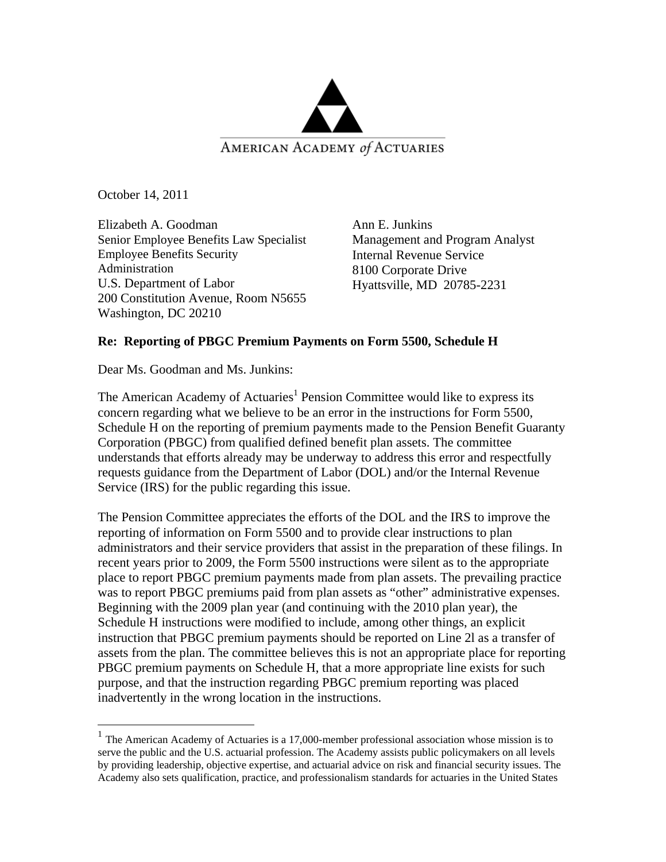

October 14, 2011

 $\overline{a}$ 

Elizabeth A. Goodman Senior Employee Benefits Law Specialist Employee Benefits Security Administration U.S. Department of Labor 200 Constitution Avenue, Room N5655 Washington, DC 20210

Ann E. Junkins Management and Program Analyst Internal Revenue Service 8100 Corporate Drive Hyattsville, MD 20785-2231

## **Re: Reporting of PBGC Premium Payments on Form 5500, Schedule H**

Dear Ms. Goodman and Ms. Junkins:

The American Academy of Actuaries<sup>1</sup> Pension Committee would like to express its concern regarding what we believe to be an error in the instructions for Form 5500, Schedule H on the reporting of premium payments made to the Pension Benefit Guaranty Corporation (PBGC) from qualified defined benefit plan assets. The committee understands that efforts already may be underway to address this error and respectfully requests guidance from the Department of Labor (DOL) and/or the Internal Revenue Service (IRS) for the public regarding this issue.

The Pension Committee appreciates the efforts of the DOL and the IRS to improve the reporting of information on Form 5500 and to provide clear instructions to plan administrators and their service providers that assist in the preparation of these filings. In recent years prior to 2009, the Form 5500 instructions were silent as to the appropriate place to report PBGC premium payments made from plan assets. The prevailing practice was to report PBGC premiums paid from plan assets as "other" administrative expenses. Beginning with the 2009 plan year (and continuing with the 2010 plan year), the Schedule H instructions were modified to include, among other things, an explicit instruction that PBGC premium payments should be reported on Line 2l as a transfer of assets from the plan. The committee believes this is not an appropriate place for reporting PBGC premium payments on Schedule H, that a more appropriate line exists for such purpose, and that the instruction regarding PBGC premium reporting was placed inadvertently in the wrong location in the instructions.

 $<sup>1</sup>$  The American Academy of Actuaries is a 17,000-member professional association whose mission is to</sup> serve the public and the U.S. actuarial profession. The Academy assists public policymakers on all levels by providing leadership, objective expertise, and actuarial advice on risk and financial security issues. The Academy also sets qualification, practice, and professionalism standards for actuaries in the United States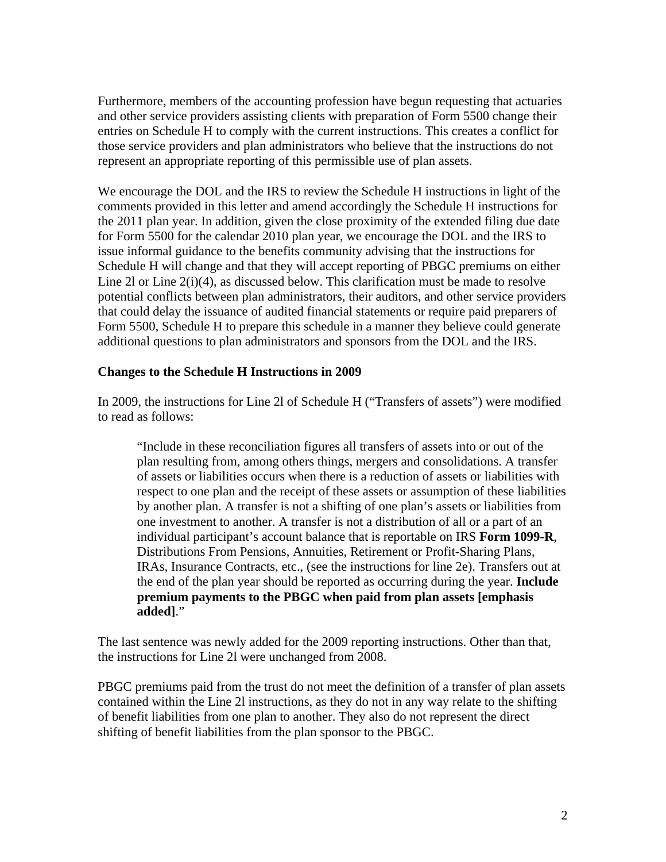Furthermore, members of the accounting profession have begun requesting that actuaries and other service providers assisting clients with preparation of Form 5500 change their entries on Schedule H to comply with the current instructions. This creates a conflict for those service providers and plan administrators who believe that the instructions do not represent an appropriate reporting of this permissible use of plan assets.

We encourage the DOL and the IRS to review the Schedule H instructions in light of the comments provided in this letter and amend accordingly the Schedule H instructions for the 2011 plan year. In addition, given the close proximity of the extended filing due date for Form 5500 for the calendar 2010 plan year, we encourage the DOL and the IRS to issue informal guidance to the benefits community advising that the instructions for Schedule H will change and that they will accept reporting of PBGC premiums on either Line 2l or Line 2(i)(4), as discussed below. This clarification must be made to resolve potential conflicts between plan administrators, their auditors, and other service providers that could delay the issuance of audited financial statements or require paid preparers of Form 5500, Schedule H to prepare this schedule in a manner they believe could generate additional questions to plan administrators and sponsors from the DOL and the IRS.

## **Changes to the Schedule H Instructions in 2009**

In 2009, the instructions for Line 2l of Schedule H ("Transfers of assets") were modified to read as follows:

"Include in these reconciliation figures all transfers of assets into or out of the plan resulting from, among others things, mergers and consolidations. A transfer of assets or liabilities occurs when there is a reduction of assets or liabilities with respect to one plan and the receipt of these assets or assumption of these liabilities by another plan. A transfer is not a shifting of one plan's assets or liabilities from one investment to another. A transfer is not a distribution of all or a part of an individual participant's account balance that is reportable on IRS **Form 1099-R**, Distributions From Pensions, Annuities, Retirement or Profit-Sharing Plans, IRAs, Insurance Contracts, etc., (see the instructions for line 2e). Transfers out at the end of the plan year should be reported as occurring during the year. **Include premium payments to the PBGC when paid from plan assets [emphasis added]**."

The last sentence was newly added for the 2009 reporting instructions. Other than that, the instructions for Line 2l were unchanged from 2008.

PBGC premiums paid from the trust do not meet the definition of a transfer of plan assets contained within the Line 2l instructions, as they do not in any way relate to the shifting of benefit liabilities from one plan to another. They also do not represent the direct shifting of benefit liabilities from the plan sponsor to the PBGC.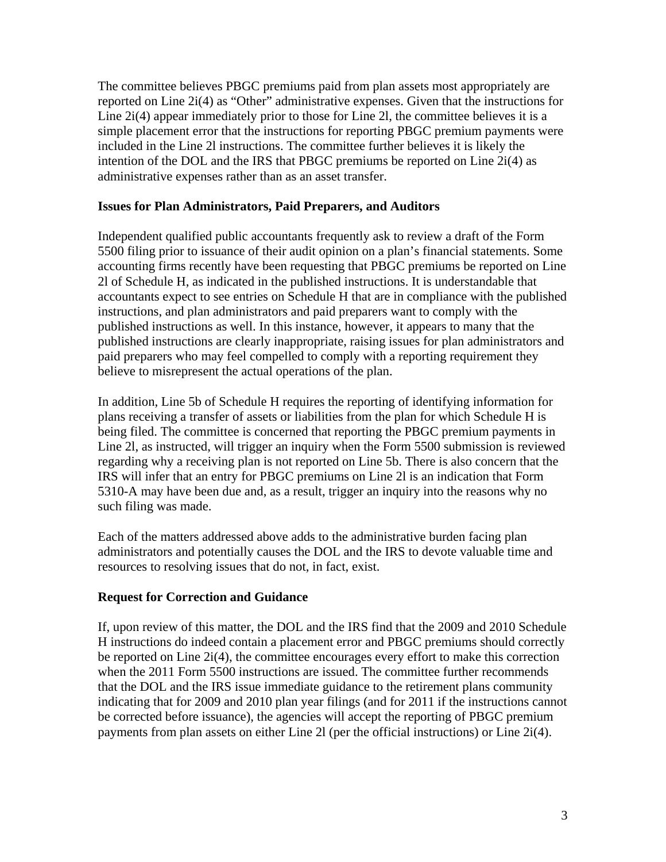The committee believes PBGC premiums paid from plan assets most appropriately are reported on Line 2i(4) as "Other" administrative expenses. Given that the instructions for Line 2i(4) appear immediately prior to those for Line 2l, the committee believes it is a simple placement error that the instructions for reporting PBGC premium payments were included in the Line 2l instructions. The committee further believes it is likely the intention of the DOL and the IRS that PBGC premiums be reported on Line 2i(4) as administrative expenses rather than as an asset transfer.

## **Issues for Plan Administrators, Paid Preparers, and Auditors**

Independent qualified public accountants frequently ask to review a draft of the Form 5500 filing prior to issuance of their audit opinion on a plan's financial statements. Some accounting firms recently have been requesting that PBGC premiums be reported on Line 2l of Schedule H, as indicated in the published instructions. It is understandable that accountants expect to see entries on Schedule H that are in compliance with the published instructions, and plan administrators and paid preparers want to comply with the published instructions as well. In this instance, however, it appears to many that the published instructions are clearly inappropriate, raising issues for plan administrators and paid preparers who may feel compelled to comply with a reporting requirement they believe to misrepresent the actual operations of the plan.

In addition, Line 5b of Schedule H requires the reporting of identifying information for plans receiving a transfer of assets or liabilities from the plan for which Schedule H is being filed. The committee is concerned that reporting the PBGC premium payments in Line 2l, as instructed, will trigger an inquiry when the Form 5500 submission is reviewed regarding why a receiving plan is not reported on Line 5b. There is also concern that the IRS will infer that an entry for PBGC premiums on Line 2l is an indication that Form 5310-A may have been due and, as a result, trigger an inquiry into the reasons why no such filing was made.

Each of the matters addressed above adds to the administrative burden facing plan administrators and potentially causes the DOL and the IRS to devote valuable time and resources to resolving issues that do not, in fact, exist.

## **Request for Correction and Guidance**

If, upon review of this matter, the DOL and the IRS find that the 2009 and 2010 Schedule H instructions do indeed contain a placement error and PBGC premiums should correctly be reported on Line 2i(4), the committee encourages every effort to make this correction when the 2011 Form 5500 instructions are issued. The committee further recommends that the DOL and the IRS issue immediate guidance to the retirement plans community indicating that for 2009 and 2010 plan year filings (and for 2011 if the instructions cannot be corrected before issuance), the agencies will accept the reporting of PBGC premium payments from plan assets on either Line 2l (per the official instructions) or Line 2i(4).